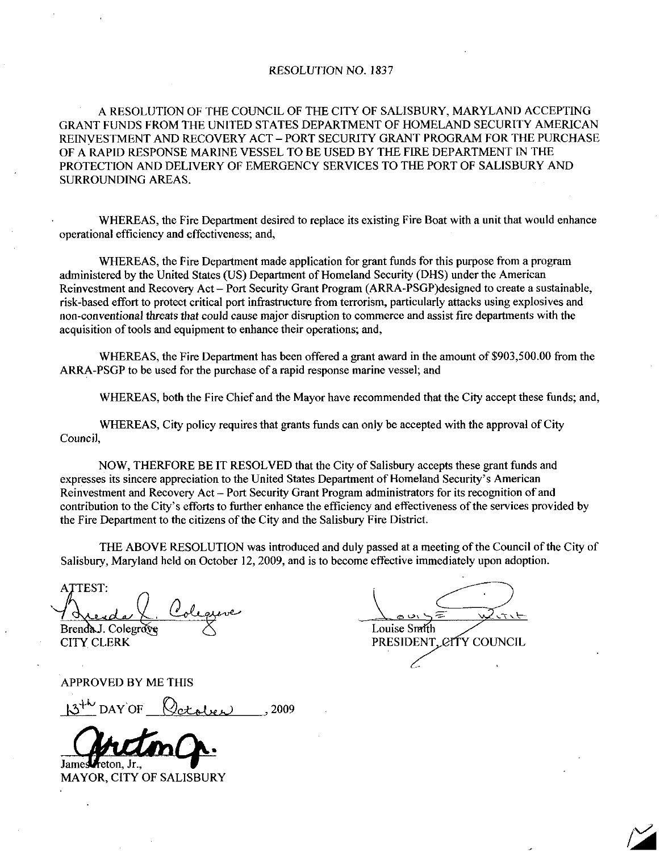## RESOLUTION NO. 1837

A RESOLUTION OF THE COUNCIL OF THE CITY OF SALISBURY MARYLAND ACCEPTING GRANT FUNDS FROM THE UNITED STATES DEPARTMENT OF HOMELAND SECURITY AMERICAN REINVESTMENT AND RECOVERY ACT PORT SECURITY GRANT PROGRAM FOR THE PURCHASE OF A RAPID RESPONSE MARINE VESSEL TO BE USED BY THE FIRE DEPARTMENT N THE PROTECTION AND DELNERY OF EMERGENCY SERVICES TO THE PORT OF SALISBURY AND SURROUNDING AREAS

WHEREAS, the Fire Department desired to replace its existing Fire Boat with a unit that would enhance operational efficiency and effectiveness; and,

WHEREAS, the Fire Department made application for grant funds for this purpose from a program administered by the United States (US) Department of Homeland Security (DHS) under the American writended by the United States (US) Department of Homeland Security (DHS) under the American<br>Reinvestment and Recovery Act – Port Security Grant Program (ARRA-PSGP)designed to create a sustainable,<br>risk-based effort to pro acquisition of tools and equipment to enhance their operations; and, non-conventional threats that could cause major disruption to commerce and assist fire departments with the acquisition of tools and equipment to enhance their operations; and,<br>WHEREAS, the Fire Department has been offered

WHEREAS, the Fire Department has been offered a grant award in the<br>ARRA-PSGP to be used for the purchase of a rapid response marine vessel; and

WHEREAS, both the Fire Chief and the Mayor have recommended that the City accept these funds; and,

WHEREAS, City policy requires that grants funds can only be accepted with the approval of City Council

NOW, THERFORE BE IT RESOLVED that the City of Salisbury accepts these grant funds and WHEREAS, City policy requires that grants funds can only be accepted with the approximately.<br>Council,<br>NOW, THERFORE BE IT RESOLVED that the City of Salisbury accepts these grand expresses its sincere appreciation to the Un American Reinvestment and Recovery Act – Port Security Grant Program administrators for its recognition of and contribution to the City's efforts to further enhance the efficiency and effectiveness of the services provided by the Fire Department to the citizens of the City and the Salisbury Fire District. ET A CONSULTER AND THE ABOVE RESOLUTION and ATTEST:<br>
MAYORE THE ALL OURING THE ALL ON THE AREA-PSGP to be used for the purchase of a rap<br>
WHEREAS, the Fire Department has been apply the subset of a rap<br>
WHEREAS, both the F

THE ABOVE RESOLUTION was introduced and duly passed at a meeting of the Council of the City of Salisbury, Maryland held on October 12, 2009, and is to become effective immediately upon adoption.

ATTEST:

APPROVED BY ME THIS



Louise Smith BrendaJ. Colegrate  $\triangle$  Louise Smith Louise Smith CITY CLERK PRESIDENT, CITY COUNCIL ATTEST:<br>Avenda l. Colegrave<br>Brenda J. Colegrave Louise Smith<br>CITY CLERK PRESIDENT, CITY COUNCIL